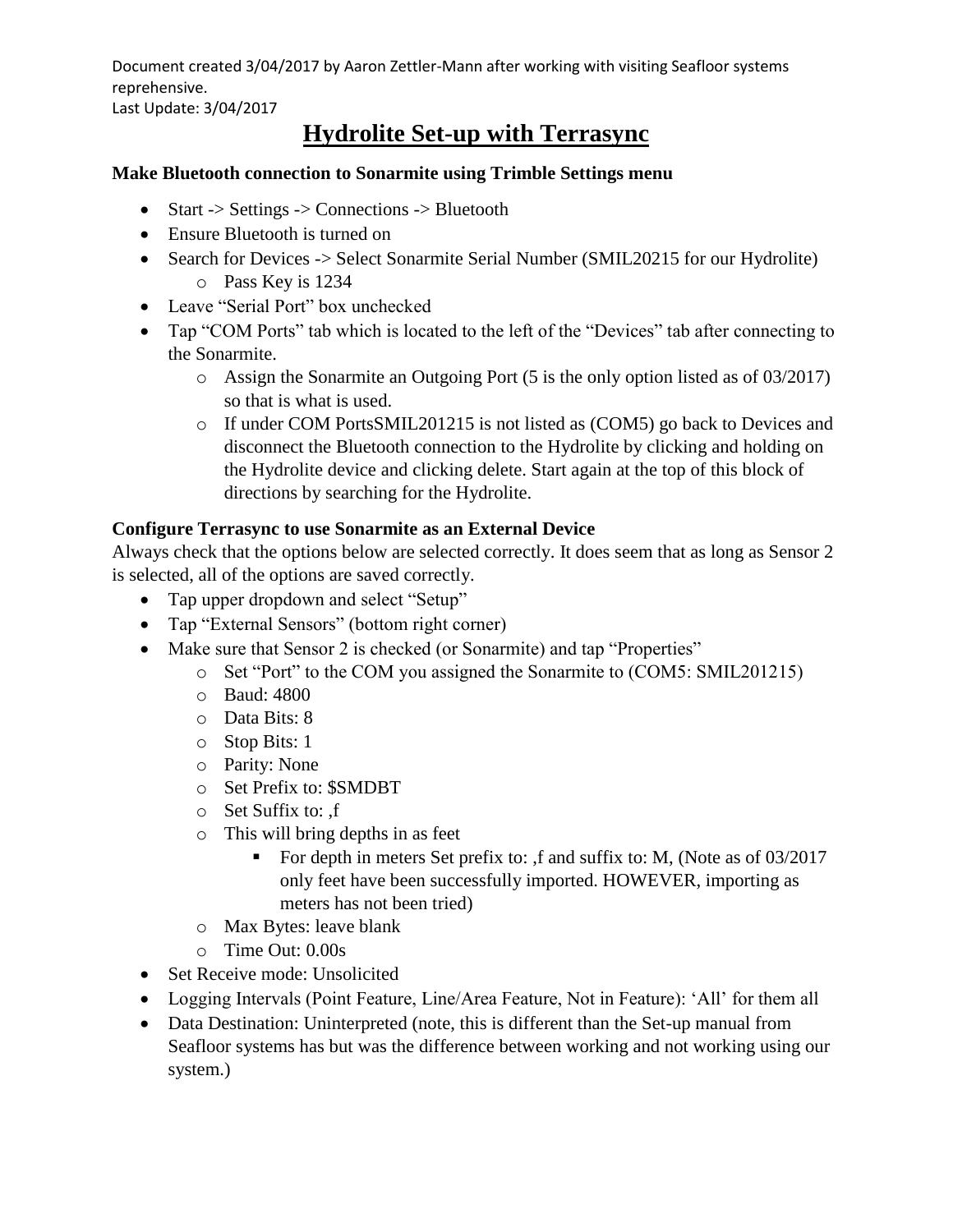Document created 3/04/2017 by Aaron Zettler-Mann after working with visiting Seafloor systems reprehensive.

Last Update: 3/04/2017

# **Hydrolite Set-up with Terrasync**

#### **Make Bluetooth connection to Sonarmite using Trimble Settings menu**

- Start -> Settings -> Connections -> Bluetooth
- Ensure Bluetooth is turned on
- Search for Devices -> Select Sonarmite Serial Number (SMIL20215 for our Hydrolite) o Pass Key is 1234
- Leave "Serial Port" box unchecked
- Tap "COM Ports" tab which is located to the left of the "Devices" tab after connecting to the Sonarmite.
	- o Assign the Sonarmite an Outgoing Port (5 is the only option listed as of 03/2017) so that is what is used.
	- o If under COM PortsSMIL201215 is not listed as (COM5) go back to Devices and disconnect the Bluetooth connection to the Hydrolite by clicking and holding on the Hydrolite device and clicking delete. Start again at the top of this block of directions by searching for the Hydrolite.

### **Configure Terrasync to use Sonarmite as an External Device**

Always check that the options below are selected correctly. It does seem that as long as Sensor 2 is selected, all of the options are saved correctly.

- Tap upper dropdown and select "Setup"
- Tap "External Sensors" (bottom right corner)
- Make sure that Sensor 2 is checked (or Sonarmite) and tap "Properties"
	- o Set "Port" to the COM you assigned the Sonarmite to (COM5: SMIL201215)
	- o Baud: 4800
	- o Data Bits: 8
	- o Stop Bits: 1
	- o Parity: None
	- o Set Prefix to: \$SMDBT
	- o Set Suffix to: ,f
	- o This will bring depths in as feet
		- For depth in meters Set prefix to: ,f and suffix to: M, (Note as of  $03/2017$ only feet have been successfully imported. HOWEVER, importing as meters has not been tried)
	- o Max Bytes: leave blank
	- o Time Out: 0.00s
- Set Receive mode: Unsolicited
- Logging Intervals (Point Feature, Line/Area Feature, Not in Feature): 'All' for them all
- Data Destination: Uninterpreted (note, this is different than the Set-up manual from Seafloor systems has but was the difference between working and not working using our system.)